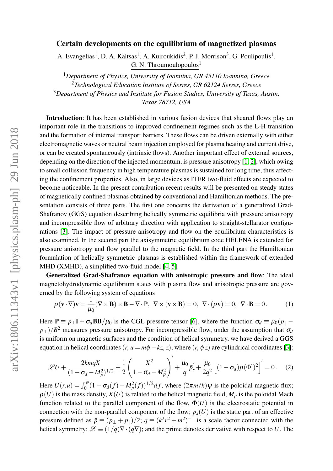## Certain developments on the equilibrium of magnetized plasmas

A. Evangelias<sup>1</sup>, D. A. Kaltsas<sup>1</sup>, A. Kuiroukidis<sup>2</sup>, P. J. Morrison<sup>3</sup>, G. Poulipoulis<sup>1</sup>, G. N. Throumoulopoulos $<sup>1</sup>$ </sup>

*Department of Physics, University of Ioannina, GR 45110 Ioannina, Greece Technological Education Institute of Serres, GR 62124 Serres, Greece Department of Physics and Institute for Fusion Studies, University of Texas, Austin, Texas 78712, USA*

Introduction: It has been established in various fusion devices that sheared flows play an important role in the transitions to improved confinement regimes such as the L-H transition and the formation of internal transport barriers. These flows can be driven externally with either electromagnetic waves or neutral beam injection employed for plasma heating and current drive, or can be created spontaneously (intrinsic flows). Another important effect of external sources, depending on the direction of the injected momentum, is pressure anisotropy [\[1,](#page-3-0) [2\]](#page-3-1), which owing to small collission frequency in high temperature plasmas is sustained for long time, thus affecting the confinement properties. Also, in large devices as ITER two-fluid effects are expected to become noticeable. In the present contribution recent results will be presented on steady states of magnetically confined plasmas obtained by conventional and Hamiltonian methods. The presentation consists of three parts. The first one concerns the derivation of a generalized Grad-Shafranov (GGS) equation describing helically symmetric equilibria with pressure anisotropy and incompressible flow of arbitrary direction with application to straight-stellarator configurations [\[3\]](#page-3-2). The impact of pressure anisotropy and flow on the equilibrium characteristics is also examined. In the second part the axisymmetric equilibrium code HELENA is extended for pressure anisotropy and flow parallel to the magnetic field. In the third part the Hamiltonian formulation of helically symmetric plasmas is established within the framework of extended MHD (XMHD), a simplified two-fluid model [\[4,](#page-3-3) [5\]](#page-3-4).

Generalized Grad-Shafranov equation with anisotropic pressure and flow: The ideal magnetohydrodynamic equilibrium states with plasma flow and anisotropic pressure are governed by the following system of equations

$$
\rho(\mathbf{v} \cdot \nabla)\mathbf{v} = \frac{1}{\mu_0} (\nabla \times \mathbf{B}) \times \mathbf{B} - \nabla \cdot \mathbb{P}, \ \nabla \times (\mathbf{v} \times \mathbf{B}) = 0, \ \nabla \cdot (\rho \mathbf{v}) = 0, \ \nabla \cdot \mathbf{B} = 0. \tag{1}
$$

Here  $\mathbb{P} \equiv p_{\perp} \mathbb{I} + \sigma_d \mathbf{BB}/\mu_0$  is the CGL pressure tensor [\[6\]](#page-3-5), where the function  $\sigma_d \equiv \mu_0 (p_{\parallel} - p_{\parallel})$  $p_{\perp}$ )/*B*<sup>2</sup> measures pressure anisotropy. For incompressible flow, under the assumption that  $\sigma_d$ is uniform on magnetic surfaces and the condition of helical symmetry, we have derived a GGS equation in helical coordinates  $(r, u = m\phi - kz, z)$ , where  $(r, \phi z)$  are cylindrical coordinates [\[3\]](#page-3-2):

<span id="page-0-0"></span>
$$
\mathscr{L}U + \frac{2kmqX}{(1-\sigma_d - M_p^2)^{1/2}} + \frac{1}{2} \left( \frac{X^2}{1-\sigma_d - M_p^2} \right)' + \frac{\mu_0}{q} \bar{p}_s' + \frac{\mu_0}{2q^2} \left[ (1-\sigma_d)\rho(\Phi')^2 \right]' = 0. \quad (2)
$$

Here  $U(r, u) = \int_0^{\psi} (1 - \sigma_d(f) - M_p^2(f))^{1/2} df$ , where  $(2\pi m/k)\psi$  is the poloidal magnetic flux;  $\rho(U)$  is the mass density,  $X(U)$  is related to the helical magnetic field,  $M_p$  is the poloidal Mach function related to the parallel component of the flow,  $\Phi(U)$  is the electrostatic potential in connection with the non-parallel component of the flow;  $\bar{p}_s(U)$  is the static part of an effective pressure defined as  $\bar{p} \equiv (p_{\perp} + p_{\parallel})/2$ ;  $q \equiv (k^2r^2 + m^2)^{-1}$  is a scale factor connected with the helical symmetry;  $\mathcal{L} \equiv (1/q)\nabla \cdot (q\nabla)$ ; and the prime denotes derivative with respect to *U*. The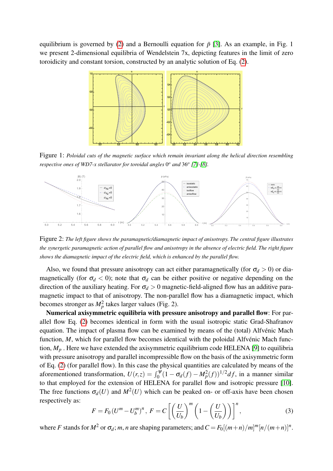equilibrium is governed by [\(2\)](#page-0-0) and a Bernoulli equation for  $\bar{p}$  [\[3\]](#page-3-2). As an example, in Fig. 1 we present 2-dimensional equilibria of Wendelstein 7x, depicting features in the limit of zero toroidicity and constant torsion, constructed by an analytic solution of Eq. [\(2\)](#page-0-0).



Figure 1: *Poloidal cuts of the magnetic surface which remain invariant along the helical direction resembling respective ones of WD7-x stellarator for toroidal angles*  $0^{\circ}$  and  $36^{\circ}$  [\[7\]](#page-3-6)-[\[8\]](#page-3-7).



Figure 2: *The left figure shows the paramagnetic/diamagnetic impact of anisotropy. The central figure illustrates the synergetic paramagnetic action of parallel flow and anisotropy in the absence of electric field. The right figure shows the diamagnetic impact of the electric field, which is enhanced by the parallel flow.*

Also, we found that pressure anisotropy can act either paramagnetically (for  $\sigma_d > 0$ ) or diamagnetically (for  $\sigma_d < 0$ ); note that  $\sigma_d$  can be either positive or negative depending on the direction of the auxiliary heating. For  $\sigma_d > 0$  magnetic-field-aligned flow has an additive paramagnetic impact to that of anisotropy. The non-parallel flow has a diamagnetic impact, which becomes stronger as  $M_p^2$  takes larger values (Fig. 2).

Numerical axisymmetric equilibria with pressure anisotropy and parallel flow: For parallel flow Eq. [\(2\)](#page-0-0) becomes identical in form with the usual isotropic static Grad-Shafranov equation. The impact of plasma flow can be examined by means of the (total) Alfvénic Mach function, *M*, which for parallel flow becomes identical with the poloidal Alfvénic Mach function,  $M_p$ . Here we have extended the axisymmetric equilibrium code HELENA [\[9\]](#page-3-8) to equilibria with pressure anisotropy and parallel incompressible flow on the basis of the axisymmetric form of Eq. [\(2\)](#page-0-0) (for parallel flow). In this case the physical quantities are calculated by means of the aforementioned transformation,  $U(r, z) = \int_0^{\psi} (1 - \sigma_d(f) - M_p^2(f))^{1/2} df$ , in a manner similar to that employed for the extension of HELENA for parallel flow and isotropic pressure [\[10\]](#page-3-9). The free functions  $\sigma_d(U)$  and  $M^2(U)$  which can be peaked on- or off-axis have been chosen respectively as:

$$
F = F_0 \left( U^m - U_b^m \right)^n, \ F = C \left[ \left( \frac{U}{U_b} \right)^m \left( 1 - \left( \frac{U}{U_b} \right) \right) \right]^n, \tag{3}
$$

where *F* stands for  $M^2$  or  $\sigma_d$ ; *m*, *n* are shaping parameters; and  $C = F_0[(m+n)/m]^m[n/(m+n)]^n$ .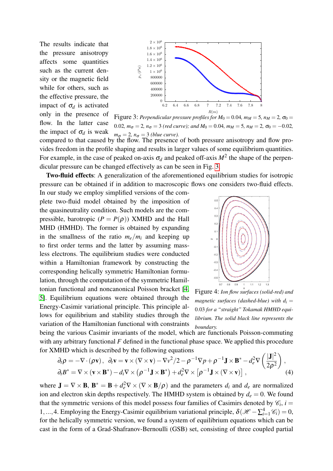The results indicate that the pressure anisotropy affects some quantities such as the current density or the magnetic field while for others, such as the effective pressure, the impact of  $\sigma_d$  is activated only in the presence of flow. In the latter case the impact of  $\sigma_d$  is weak



<span id="page-2-0"></span>Figure 3: *Perpendicular pressure profiles for*  $M_0 = 0.04$ ,  $m_M = 5$ ,  $n_M = 2$ ,  $\sigma_0 =$ 0.02*,*  $m_{\sigma} = 2$ ,  $n_{\sigma} = 3$  (red curve); and  $M_0 = 0.04$ ,  $m_M = 5$ ,  $n_M = 2$ ,  $\sigma_0 = -0.02$ ,  $m_{\sigma} = 2$ ,  $n_{\sigma} = 3$  *(blue curve).* 

compared to that caused by the flow. The presence of both pressure anisotropy and flow provides freedom in the profile shaping and results in larger values of some equilibrium quantities. For example, in the case of peaked on-axis  $\sigma_d$  and peaked of f-axis  $M^2$  the shape of the perpendicular pressure can be changed effectively as can be seen in Fig. [3.](#page-2-0)

pressure can be obtained if in addition to macroscopic flows one considers two-fluid effects. Two-fluid effects: A generalization of the aforementioned equilibrium studies for isotropic

In our study we employ simplified versions of the complete two-fluid model obtained by the imposition of the quasineutrality condition. Such models are the compressible, barotropic  $(P = P(\rho))$  XMHD and the Hall MHD (HMHD). The former is obtained by expanding in the smallness of the ratio  $m_e/m_i$  and keeping up to first order terms and the latter by assuming massless electrons. The equilibrium studies were conducted within a Hamiltonian framework by constructing the corresponding helically symmetric Hamiltonian formulation, through the computation of the symmetric Hamiltonian functional and noncanonical Poisson bracket [\[4,](#page-3-3) [5\]](#page-3-4). Equilibrium equations were obtained through the Energy-Casimir variational principle. This principle allows for equilibrium and stability studies through the variation of the Hamiltonian functional with constraints



<span id="page-2-1"></span>Figure 4: *Ion flow surfaces (solid-red) and magnetic surfaces (dashed-blue) with*  $d_i =$ 0.03 *for a "straight" Tokamak HMHD equilibrium. The solid black line represents the boundary.*

being the various Casimir invariants of the model, which are functionals Poisson-commuting with any arbitrary functional *F* defined in the functional phase space. We applied this procedure for XMHD which is described by the following equations

$$
\partial_t \rho = -\nabla \cdot (\rho \mathbf{v}), \ \ \partial_t \mathbf{v} = \mathbf{v} \times (\nabla \times \mathbf{v}) - \nabla v^2 / 2 - \rho^{-1} \nabla p + \rho^{-1} \mathbf{J} \times \mathbf{B}^* - d_e^2 \nabla \left( \frac{|\mathbf{J}|^2}{2\rho^2} \right),
$$
  

$$
\partial_t B^* = \nabla \times (\mathbf{v} \times \mathbf{B}^*) - d_i \nabla \times (\rho^{-1} \mathbf{J} \times \mathbf{B}^*) + d_e^2 \nabla \times [\rho^{-1} \mathbf{J} \times (\nabla \times \mathbf{v})], \tag{4}
$$

where  $J = \nabla \times B$ ,  $B^* = B + d_e^2 \nabla \times (\nabla \times B/\rho)$  and the parameters  $d_i$  and  $d_e$  are normalized ion and electron skin depths respectively. The HMHD system is obtained by  $d_e = 0$ . We found that the symmetric versions of this model possess four families of Casimirs denoted by  $\mathcal{C}_i$ ,  $i =$ 1,...,4. Employing the Energy-Casimir equilibrium variational principle,  $\delta(\mathcal{H} - \sum_{i=1}^{4} \mathcal{C}_i) = 0$ , for the helically symmetric version, we found a system of equilibrium equations which can be cast in the form of a Grad-Shafranov-Bernoulli (GSB) set, consisting of three coupled partial